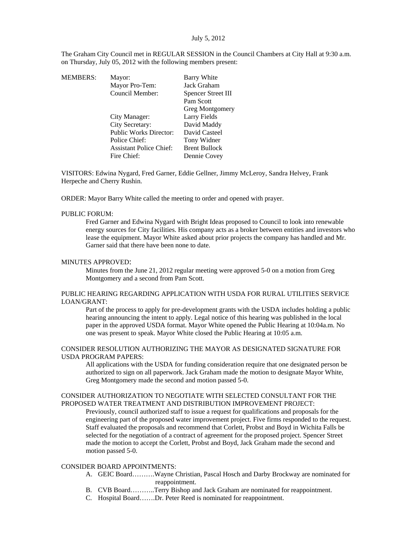The Graham City Council met in REGULAR SESSION in the Council Chambers at City Hall at 9:30 a.m. on Thursday, July 05, 2012 with the following members present:

| MEMBERS: | Mayor:                         | Barry White            |
|----------|--------------------------------|------------------------|
|          | Mayor Pro-Tem:                 | Jack Graham            |
|          | Council Member:                | Spencer Street III     |
|          |                                | Pam Scott              |
|          |                                | <b>Greg Montgomery</b> |
|          | City Manager:                  | Larry Fields           |
|          | City Secretary:                | David Maddy            |
|          | <b>Public Works Director:</b>  | David Casteel          |
|          | Police Chief:                  | Tony Widner            |
|          | <b>Assistant Police Chief:</b> | <b>Brent Bullock</b>   |
|          | Fire Chief:                    | Dennie Covey           |
|          |                                |                        |

VISITORS: Edwina Nygard, Fred Garner, Eddie Gellner, Jimmy McLeroy, Sandra Helvey, Frank Herpeche and Cherry Rushin.

ORDER: Mayor Barry White called the meeting to order and opened with prayer.

#### PUBLIC FORUM:

Fred Garner and Edwina Nygard with Bright Ideas proposed to Council to look into renewable energy sources for City facilities. His company acts as a broker between entities and investors who lease the equipment. Mayor White asked about prior projects the company has handled and Mr. Garner said that there have been none to date.

#### MINUTES APPROVED:

Minutes from the June 21, 2012 regular meeting were approved 5-0 on a motion from Greg Montgomery and a second from Pam Scott.

### PUBLIC HEARING REGARDING APPLICATION WITH USDA FOR RURAL UTILITIES SERVICE LOAN/GRANT:

Part of the process to apply for pre-development grants with the USDA includes holding a public hearing announcing the intent to apply. Legal notice of this hearing was published in the local paper in the approved USDA format. Mayor White opened the Public Hearing at 10:04a.m. No one was present to speak. Mayor White closed the Public Hearing at 10:05 a.m.

## CONSIDER RESOLUTION AUTHORIZING THE MAYOR AS DESIGNATED SIGNATURE FOR USDA PROGRAM PAPERS:

All applications with the USDA for funding consideration require that one designated person be authorized to sign on all paperwork. Jack Graham made the motion to designate Mayor White, Greg Montgomery made the second and motion passed 5-0.

#### CONSIDER AUTHORIZATION TO NEGOTIATE WITH SELECTED CONSULTANT FOR THE PROPOSED WATER TREATMENT AND DISTRIBUTION IMPROVEMENT PROJECT:

Previously, council authorized staff to issue a request for qualifications and proposals for the engineering part of the proposed water improvement project. Five firms responded to the request. Staff evaluated the proposals and recommend that Corlett, Probst and Boyd in Wichita Falls be selected for the negotiation of a contract of agreement for the proposed project. Spencer Street made the motion to accept the Corlett, Probst and Boyd, Jack Graham made the second and motion passed 5-0.

### CONSIDER BOARD APPOINTMENTS:

- A. GEIC Board……….Wayne Christian, Pascal Hosch and Darby Brockway are nominated for reappointment.
- B. CVB Board………..Terry Bishop and Jack Graham are nominated for reappointment.
- C. Hospital Board…….Dr. Peter Reed is nominated for reappointment.